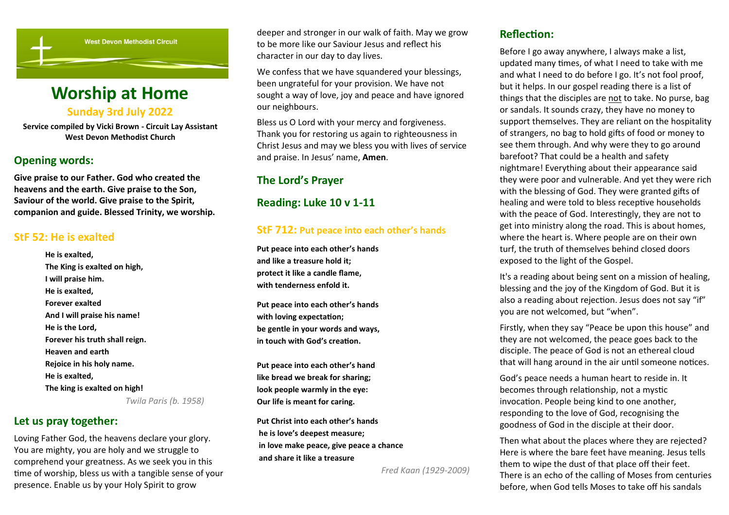

# **Worship at Home Sunday 3rd July 2022**

**Service compiled by Vicki Brown - Circuit Lay Assistant West Devon Methodist Church**

### **Opening words:**

**Give praise to our Father. God who created the heavens and the earth. Give praise to the Son, Saviour of the world. Give praise to the Spirit, companion and guide. Blessed Trinity, we worship.**

### **StF 52: He is exalted**

**He is exalted, The King is exalted on high, I will praise him. He is exalted, Forever exalted And I will praise his name! He is the Lord, Forever his truth shall reign. Heaven and earth Rejoice in his holy name. He is exalted, The king is exalted on high!** *Twila Paris (b. 1958)*

### **Let us pray together:**

Loving Father God, the heavens declare your glory. You are mighty, you are holy and we struggle to comprehend your greatness. As we seek you in this time of worship, bless us with a tangible sense of your presence. Enable us by your Holy Spirit to grow

deeper and stronger in our walk of faith. May we grow to be more like our Saviour Jesus and reflect his character in our day to day lives.

We confess that we have squandered your blessings, been ungrateful for your provision. We have not sought a way of love, joy and peace and have ignored our neighbours.

Bless us O Lord with your mercy and forgiveness. Thank you for restoring us again to righteousness in Christ Jesus and may we bless you with lives of service and praise. In Jesus' name, **Amen**.

## **The Lord's Prayer**

**Reading: Luke 10 v 1-11**

### **StF 712: Put peace into each other's hands**

**Put peace into each other's hands and like a treasure hold it; protect it like a candle flame, with tenderness enfold it.**

**Put peace into each other's hands with loving expectation; be gentle in your words and ways, in touch with God's creation.**

**Put peace into each other's hand like bread we break for sharing; look people warmly in the eye: Our life is meant for caring.**

**Put Christ into each other's hands he is love's deepest measure; in love make peace, give peace a chance and share it like a treasure** 

 *Fred Kaan (1929-2009)*

## **Reflection:**

Before I go away anywhere, I always make a list, updated many times, of what I need to take with me and what I need to do before I go. It's not fool proof, but it helps. In our gospel reading there is a list of things that the disciples are not to take. No purse, bag or sandals. It sounds crazy, they have no money to support themselves. They are reliant on the hospitality of strangers, no bag to hold gifts of food or money to see them through. And why were they to go around barefoot? That could be a health and safety nightmare! Everything about their appearance said they were poor and vulnerable. And yet they were rich with the blessing of God. They were granted gifts of healing and were told to bless receptive households with the peace of God. Interestingly, they are not to get into ministry along the road. This is about homes, where the heart is. Where people are on their own turf, the truth of themselves behind closed doors exposed to the light of the Gospel.

It's a reading about being sent on a mission of healing, blessing and the joy of the Kingdom of God. But it is also a reading about rejection. Jesus does not say "if" you are not welcomed, but "when".

Firstly, when they say "Peace be upon this house" and they are not welcomed, the peace goes back to the disciple. The peace of God is not an ethereal cloud that will hang around in the air until someone notices.

God's peace needs a human heart to reside in. It becomes through relationship, not a mystic invocation. People being kind to one another, responding to the love of God, recognising the goodness of God in the disciple at their door.

Then what about the places where they are rejected? Here is where the bare feet have meaning. Jesus tells them to wipe the dust of that place off their feet. There is an echo of the calling of Moses from centuries before, when God tells Moses to take off his sandals